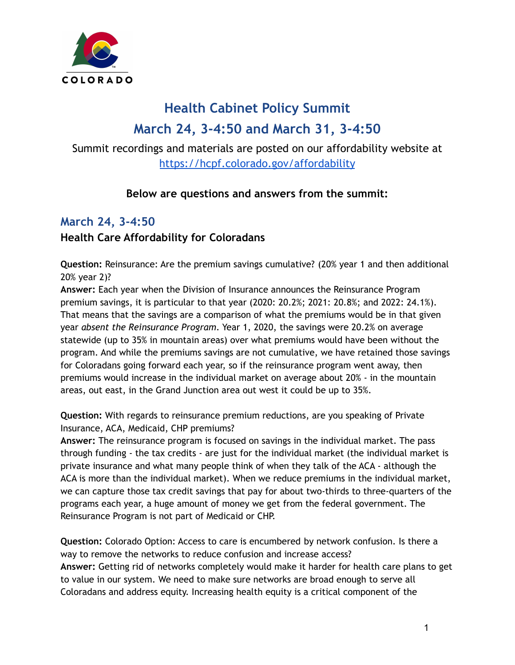

# **Health Cabinet Policy Summit March 24, 3-4:50 and March 31, 3-4:50**

Summit recordings and materials are posted on our affordability website at <https://hcpf.colorado.gov/affordability>

## **Below are questions and answers from the summit:**

## **March 24, 3-4:50**

## **Health Care Affordability for Coloradans**

**Question:** Reinsurance: Are the premium savings cumulative? (20% year 1 and then additional 20% year 2)?

**Answer:** Each year when the Division of Insurance announces the Reinsurance Program premium savings, it is particular to that year (2020: 20.2%; 2021: 20.8%; and 2022: 24.1%). That means that the savings are a comparison of what the premiums would be in that given year *absent the Reinsurance Program*. Year 1, 2020, the savings were 20.2% on average statewide (up to 35% in mountain areas) over what premiums would have been without the program. And while the premiums savings are not cumulative, we have retained those savings for Coloradans going forward each year, so if the reinsurance program went away, then premiums would increase in the individual market on average about 20% - in the mountain areas, out east, in the Grand Junction area out west it could be up to 35%.

**Question:** With regards to reinsurance premium reductions, are you speaking of Private Insurance, ACA, Medicaid, CHP premiums?

**Answer:** The reinsurance program is focused on savings in the individual market. The pass through funding - the tax credits - are just for the individual market (the individual market is private insurance and what many people think of when they talk of the ACA - although the ACA is more than the individual market). When we reduce premiums in the individual market, we can capture those tax credit savings that pay for about two-thirds to three-quarters of the programs each year, a huge amount of money we get from the federal government. The Reinsurance Program is not part of Medicaid or CHP.

**Question:** Colorado Option: Access to care is encumbered by network confusion. Is there a way to remove the networks to reduce confusion and increase access? **Answer:** Getting rid of networks completely would make it harder for health care plans to get to value in our system. We need to make sure networks are broad enough to serve all Coloradans and address equity. Increasing health equity is a critical component of the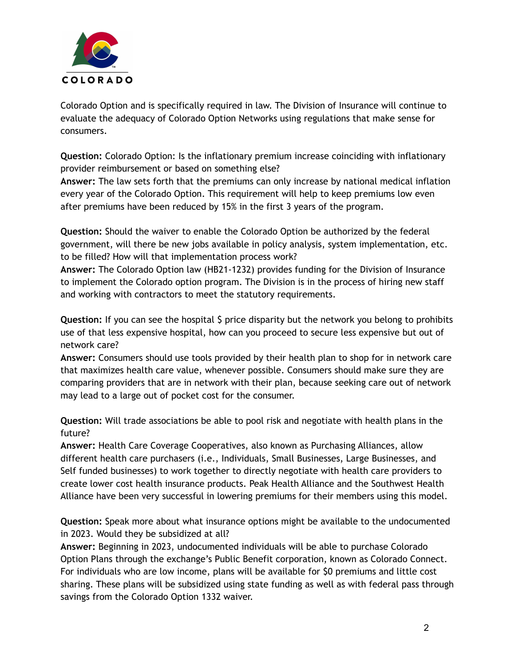

Colorado Option and is specifically required in law. The Division of Insurance will continue to evaluate the adequacy of Colorado Option Networks using regulations that make sense for consumers.

**Question:** Colorado Option: Is the inflationary premium increase coinciding with inflationary provider reimbursement or based on something else?

**Answer:** The law sets forth that the premiums can only increase by national medical inflation every year of the Colorado Option. This requirement will help to keep premiums low even after premiums have been reduced by 15% in the first 3 years of the program.

**Question:** Should the waiver to enable the Colorado Option be authorized by the federal government, will there be new jobs available in policy analysis, system implementation, etc. to be filled? How will that implementation process work?

**Answer:** The Colorado Option law (HB21-1232) provides funding for the Division of Insurance to implement the Colorado option program. The Division is in the process of hiring new staff and working with contractors to meet the statutory requirements.

**Question:** If you can see the hospital \$ price disparity but the network you belong to prohibits use of that less expensive hospital, how can you proceed to secure less expensive but out of network care?

**Answer:** Consumers should use tools provided by their health plan to shop for in network care that maximizes health care value, whenever possible. Consumers should make sure they are comparing providers that are in network with their plan, because seeking care out of network may lead to a large out of pocket cost for the consumer.

**Question:** Will trade associations be able to pool risk and negotiate with health plans in the future?

**Answer:** Health Care Coverage Cooperatives, also known as Purchasing Alliances, allow different health care purchasers (i.e., Individuals, Small Businesses, Large Businesses, and Self funded businesses) to work together to directly negotiate with health care providers to create lower cost health insurance products. Peak Health Alliance and the Southwest Health Alliance have been very successful in lowering premiums for their members using this model.

**Question:** Speak more about what insurance options might be available to the undocumented in 2023. Would they be subsidized at all?

**Answer:** Beginning in 2023, undocumented individuals will be able to purchase Colorado Option Plans through the exchange's Public Benefit corporation, known as Colorado Connect. For individuals who are low income, plans will be available for \$0 premiums and little cost sharing. These plans will be subsidized using state funding as well as with federal pass through savings from the Colorado Option 1332 waiver.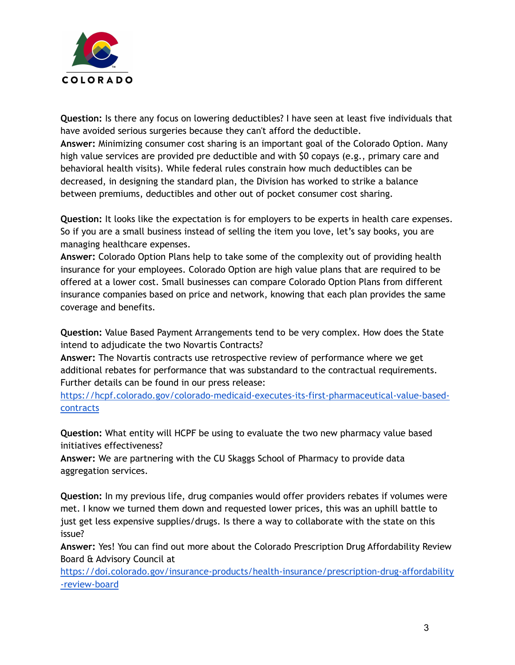

**Question:** Is there any focus on lowering deductibles? I have seen at least five individuals that have avoided serious surgeries because they can't afford the deductible.

**Answer:** Minimizing consumer cost sharing is an important goal of the Colorado Option. Many high value services are provided pre deductible and with \$0 copays (e.g., primary care and behavioral health visits). While federal rules constrain how much deductibles can be decreased, in designing the standard plan, the Division has worked to strike a balance between premiums, deductibles and other out of pocket consumer cost sharing.

**Question:** It looks like the expectation is for employers to be experts in health care expenses. So if you are a small business instead of selling the item you love, let's say books, you are managing healthcare expenses.

**Answer:** Colorado Option Plans help to take some of the complexity out of providing health insurance for your employees. Colorado Option are high value plans that are required to be offered at a lower cost. Small businesses can compare Colorado Option Plans from different insurance companies based on price and network, knowing that each plan provides the same coverage and benefits.

**Question:** Value Based Payment Arrangements tend to be very complex. How does the State intend to adjudicate the two Novartis Contracts?

**Answer:** The Novartis contracts use retrospective review of performance where we get additional rebates for performance that was substandard to the contractual requirements. Further details can be found in our press release:

[https://hcpf.colorado.gov/colorado-medicaid-executes-its-first-pharmaceutical-value-based](https://hcpf.colorado.gov/colorado-medicaid-executes-its-first-pharmaceutical-value-based-contracts)[contracts](https://hcpf.colorado.gov/colorado-medicaid-executes-its-first-pharmaceutical-value-based-contracts)

**Question:** What entity will HCPF be using to evaluate the two new pharmacy value based initiatives effectiveness?

**Answer:** We are partnering with the CU Skaggs School of Pharmacy to provide data aggregation services.

**Question:** In my previous life, drug companies would offer providers rebates if volumes were met. I know we turned them down and requested lower prices, this was an uphill battle to just get less expensive supplies/drugs. Is there a way to collaborate with the state on this issue?

**Answer:** Yes! You can find out more about the Colorado Prescription Drug Affordability Review Board & Advisory Council at

[https://doi.colorado.gov/insurance-products/health-insurance/prescription-drug-affordability](https://doi.colorado.gov/insurance-products/health-insurance/prescription-drug-affordability-review-board) [-review-board](https://doi.colorado.gov/insurance-products/health-insurance/prescription-drug-affordability-review-board)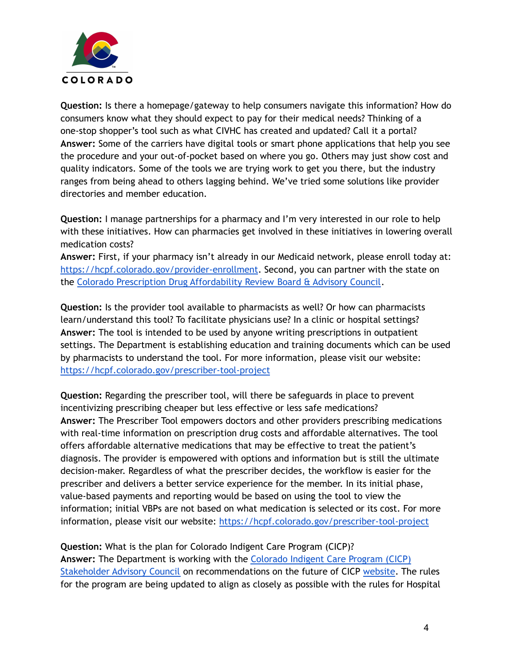

**Question:** Is there a homepage/gateway to help consumers navigate this information? How do consumers know what they should expect to pay for their medical needs? Thinking of a one-stop shopper's tool such as what CIVHC has created and updated? Call it a portal? **Answer:** Some of the carriers have digital tools or smart phone applications that help you see the procedure and your out-of-pocket based on where you go. Others may just show cost and quality indicators. Some of the tools we are trying work to get you there, but the industry ranges from being ahead to others lagging behind. We've tried some solutions like provider directories and member education.

**Question:** I manage partnerships for a pharmacy and I'm very interested in our role to help with these initiatives. How can pharmacies get involved in these initiatives in lowering overall medication costs?

**Answer:** First, if your pharmacy isn't already in our Medicaid network, please enroll today at: <https://hcpf.colorado.gov/provider-enrollment>. Second, you can partner with the state on the Colorado Prescription Drug [Affordability](https://doi.colorado.gov/insurance-products/health-insurance/prescription-drug-affordability-review-board) Review Board & Advisory Council.

**Question:** Is the provider tool available to pharmacists as well? Or how can pharmacists learn/understand this tool? To facilitate physicians use? In a clinic or hospital settings? **Answer:** The tool is intended to be used by anyone writing prescriptions in outpatient settings. The Department is establishing education and training documents which can be used by pharmacists to understand the tool. For more information, please visit our website: <https://hcpf.colorado.gov/prescriber-tool-project>

**Question:** Regarding the prescriber tool, will there be safeguards in place to prevent incentivizing prescribing cheaper but less effective or less safe medications? **Answer:** The Prescriber Tool empowers doctors and other providers prescribing medications with real-time information on prescription drug costs and affordable alternatives. The tool offers affordable alternative medications that may be effective to treat the patient's diagnosis. The provider is empowered with options and information but is still the ultimate decision-maker. Regardless of what the prescriber decides, the workflow is easier for the prescriber and delivers a better service experience for the member. In its initial phase, value-based payments and reporting would be based on using the tool to view the information; initial VBPs are not based on what medication is selected or its cost. For more information, please visit our website: <https://hcpf.colorado.gov/prescriber-tool-project>

**Question:** What is the plan for Colorado Indigent Care Program (CICP)? **Answer:** The Department is working with the [Colorado](https://hcpf.colorado.gov/colorado-indigent-care-program-stakeholder-advisory-council) Indigent Care Program (CICP) [Stakeholder](https://hcpf.colorado.gov/colorado-indigent-care-program-stakeholder-advisory-council) Advisory Council on recommendations on the future of CICP [website](https://hcpf.colorado.gov/colorado-indigent-care-program-stakeholder-advisory-council). The rules for the program are being updated to align as closely as possible with the rules for Hospital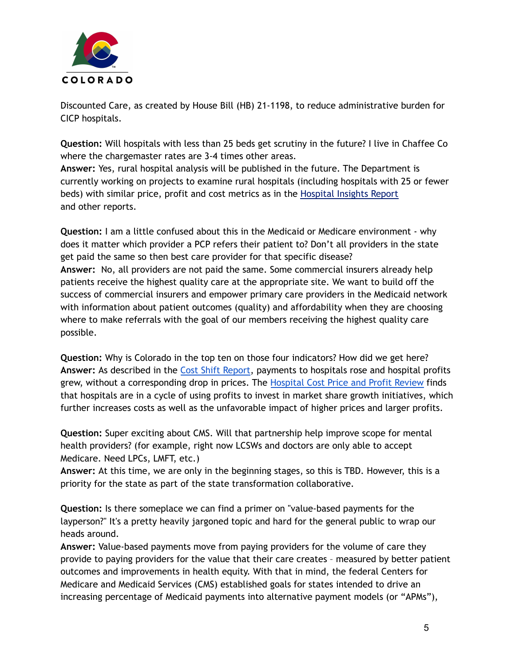

Discounted Care, as created by House Bill (HB) 21-1198, to reduce administrative burden for CICP hospitals.

**Question:** Will hospitals with less than 25 beds get scrutiny in the future? I live in Chaffee Co where the chargemaster rates are 3-4 times other areas.

**Answer:** Yes, rural hospital analysis will be published in the future. The Department is currently working on projects to examine rural hospitals (including hospitals with 25 or fewer beds) with similar price, profit and cost metrics as in the [Hospital](https://hcpf.colorado.gov/sites/hcpf/files/HospitalInsightsReport-032822.pdf) Insights Report and other reports.

**Question:** I am a little confused about this in the Medicaid or Medicare environment - why does it matter which provider a PCP refers their patient to? Don't all providers in the state get paid the same so then best care provider for that specific disease? **Answer:** No, all providers are not paid the same. Some commercial insurers already help patients receive the highest quality care at the appropriate site. We want to build off the success of commercial insurers and empower primary care providers in the Medicaid network with information about patient outcomes (quality) and affordability when they are choosing where to make referrals with the goal of our members receiving the highest quality care possible.

**Question:** Why is Colorado in the top ten on those four indicators? How did we get here? **Answer:** As described in the Cost Shift [Report,](https://hcpf.colorado.gov/sites/hcpf/files/Colorado%20Hospital%20Cost%20Shift%20Analysis%20Report-January%202020.pdf) payments to hospitals rose and hospital profits grew, without a corresponding drop in prices. The [Hospital](https://hcpf.colorado.gov/sites/hcpf/files/Hospital%20Cost%20Price%20and%20Profit%20Review%20Full%20Report_withAppendices-0810ac.pdf) Cost Price and Profit Review finds that hospitals are in a cycle of using profits to invest in market share growth initiatives, which further increases costs as well as the unfavorable impact of higher prices and larger profits.

**Question:** Super exciting about CMS. Will that partnership help improve scope for mental health providers? (for example, right now LCSWs and doctors are only able to accept Medicare. Need LPCs, LMFT, etc.)

**Answer:** At this time, we are only in the beginning stages, so this is TBD. However, this is a priority for the state as part of the state transformation collaborative.

**Question:** Is there someplace we can find a primer on "value-based payments for the layperson?" It's a pretty heavily jargoned topic and hard for the general public to wrap our heads around.

**Answer:** Value-based payments move from paying providers for the volume of care they provide to paying providers for the value that their care creates – measured by better patient outcomes and improvements in health equity. With that in mind, the federal Centers for Medicare and Medicaid Services (CMS) established goals for states intended to drive an increasing percentage of Medicaid payments into alternative payment models (or "APMs"),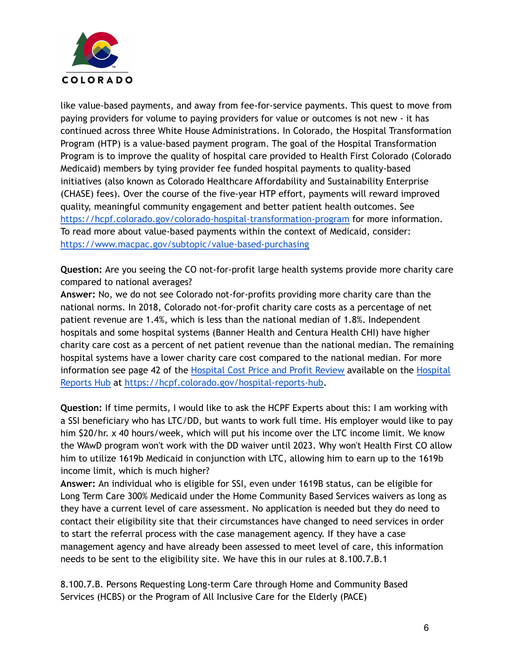

like value-based payments, and away from fee-for-service payments. This quest to move from paying providers for volume to paying providers for value or outcomes is not new - it has continued across three White House Administrations. In Colorado, the Hospital Transformation Program (HTP) is a value-based payment program. The goal of the Hospital Transformation Program is to improve the quality of hospital care provided to Health First Colorado (Colorado Medicaid) members by tying provider fee funded hospital payments to quality-based initiatives (also known as Colorado Healthcare Affordability and Sustainability Enterprise (CHASE) fees). Over the course of the five-year HTP effort, payments will reward improved quality, meaningful community engagement and better patient health outcomes. See <https://hcpf.colorado.gov/colorado-hospital-transformation-program> for more information. To read more about value-based payments within the context of Medicaid, consider: <https://www.macpac.gov/subtopic/value-based-purchasing>

**Question:** Are you seeing the CO not-for-profit large health systems provide more charity care compared to national averages?

**Answer:** No, we do not see Colorado not-for-profits providing more charity care than the national norms. In 2018, Colorado not-for-profit charity care costs as a percentage of net patient revenue are 1.4%, which is less than the national median of 1.8%. Independent hospitals and some hospital systems (Banner Health and Centura Health CHI) have higher charity care cost as a percent of net patient revenue than the national median. The remaining hospital systems have a lower charity care cost compared to the national median. For more information see page 42 of the [Hospital](https://hcpf.colorado.gov/hospital-reports-hub) Cost Price and Profit Review available on the Hospital [Reports](https://hcpf.colorado.gov/hospital-reports-hub) Hub at [https://hcpf.colorado.gov/hospital-reports-hub.](https://hcpf.colorado.gov/hospital-reports-hub)

**Question:** If time permits, I would like to ask the HCPF Experts about this: I am working with a SSI beneficiary who has LTC/DD, but wants to work full time. His employer would like to pay him \$20/hr. x 40 hours/week, which will put his income over the LTC income limit. We know the WAwD program won't work with the DD waiver until 2023. Why won't Health First CO allow him to utilize 1619b Medicaid in conjunction with LTC, allowing him to earn up to the 1619b income limit, which is much higher?

**Answer:** An individual who is eligible for SSI, even under 1619B status, can be eligible for Long Term Care 300% Medicaid under the Home Community Based Services waivers as long as they have a current level of care assessment. No application is needed but they do need to contact their eligibility site that their circumstances have changed to need services in order to start the referral process with the case management agency. If they have a case management agency and have already been assessed to meet level of care, this information needs to be sent to the eligibility site. We have this in our rules at 8.100.7.B.1

8.100.7.B. Persons Requesting Long-term Care through Home and Community Based Services (HCBS) or the Program of All Inclusive Care for the Elderly (PACE)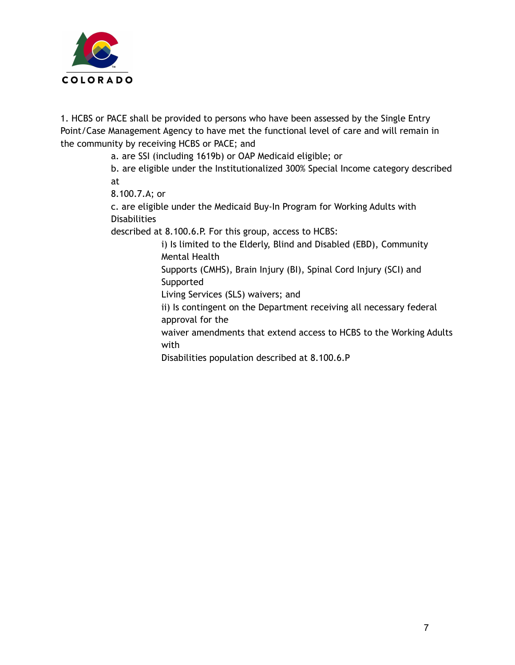

1. HCBS or PACE shall be provided to persons who have been assessed by the Single Entry Point/Case Management Agency to have met the functional level of care and will remain in the community by receiving HCBS or PACE; and

a. are SSI (including 1619b) or OAP Medicaid eligible; or

b. are eligible under the Institutionalized 300% Special Income category described at

8.100.7.A; or

c. are eligible under the Medicaid Buy-In Program for Working Adults with **Disabilities** 

described at 8.100.6.P. For this group, access to HCBS:

i) Is limited to the Elderly, Blind and Disabled (EBD), Community Mental Health

Supports (CMHS), Brain Injury (BI), Spinal Cord Injury (SCI) and Supported

Living Services (SLS) waivers; and

ii) Is contingent on the Department receiving all necessary federal approval for the

waiver amendments that extend access to HCBS to the Working Adults with

Disabilities population described at 8.100.6.P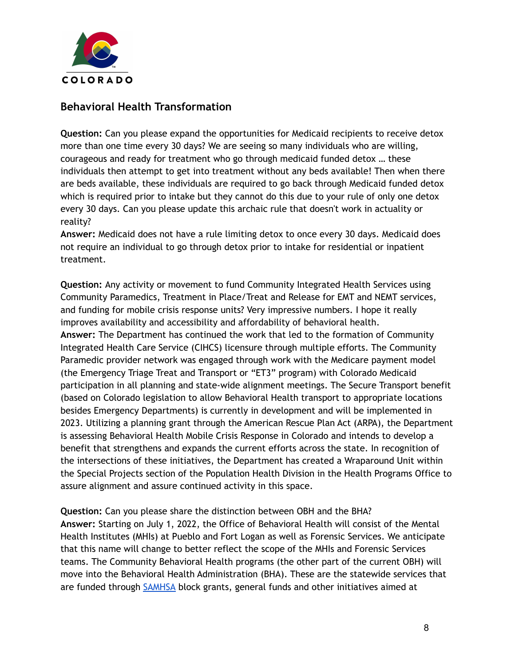

### **Behavioral Health Transformation**

**Question:** Can you please expand the opportunities for Medicaid recipients to receive detox more than one time every 30 days? We are seeing so many individuals who are willing, courageous and ready for treatment who go through medicaid funded detox … these individuals then attempt to get into treatment without any beds available! Then when there are beds available, these individuals are required to go back through Medicaid funded detox which is required prior to intake but they cannot do this due to your rule of only one detox every 30 days. Can you please update this archaic rule that doesn't work in actuality or reality?

**Answer:** Medicaid does not have a rule limiting detox to once every 30 days. Medicaid does not require an individual to go through detox prior to intake for residential or inpatient treatment.

**Question:** Any activity or movement to fund Community Integrated Health Services using Community Paramedics, Treatment in Place/Treat and Release for EMT and NEMT services, and funding for mobile crisis response units? Very impressive numbers. I hope it really improves availability and accessibility and affordability of behavioral health. **Answer:** The Department has continued the work that led to the formation of Community Integrated Health Care Service (CIHCS) licensure through multiple efforts. The Community Paramedic provider network was engaged through work with the Medicare payment model (the Emergency Triage Treat and Transport or "ET3" program) with Colorado Medicaid participation in all planning and state-wide alignment meetings. The Secure Transport benefit (based on Colorado legislation to allow Behavioral Health transport to appropriate locations besides Emergency Departments) is currently in development and will be implemented in 2023. Utilizing a planning grant through the American Rescue Plan Act (ARPA), the Department is assessing Behavioral Health Mobile Crisis Response in Colorado and intends to develop a benefit that strengthens and expands the current efforts across the state. In recognition of the intersections of these initiatives, the Department has created a Wraparound Unit within the Special Projects section of the Population Health Division in the Health Programs Office to assure alignment and assure continued activity in this space.

**Question:** Can you please share the distinction between OBH and the BHA? **Answer:** Starting on July 1, 2022, the Office of Behavioral Health will consist of the Mental Health Institutes (MHIs) at Pueblo and Fort Logan as well as Forensic Services. We anticipate that this name will change to better reflect the scope of the MHIs and Forensic Services teams. The Community Behavioral Health programs (the other part of the current OBH) will move into the Behavioral Health Administration (BHA). These are the statewide services that are funded through [SAMHSA](https://www.samhsa.gov/) block grants, general funds and other initiatives aimed at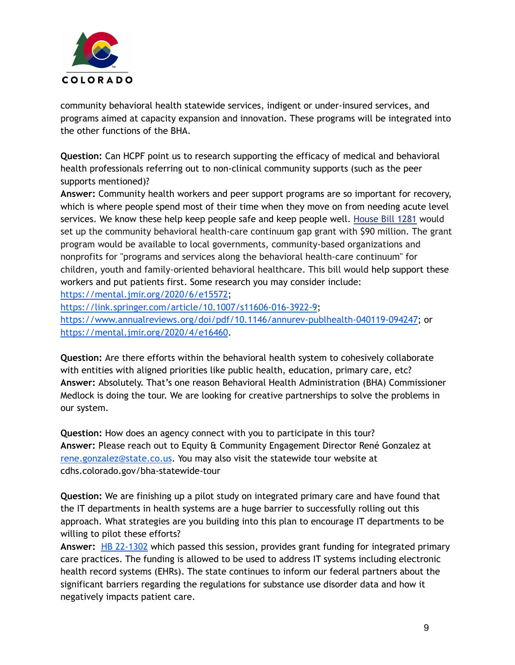

community behavioral health statewide services, indigent or under-insured services, and programs aimed at capacity expansion and innovation. These programs will be integrated into the other functions of the BHA.

**Question:** Can HCPF point us to research supporting the efficacy of medical and behavioral health professionals referring out to non-clinical community supports (such as the peer supports mentioned)?

**Answer:** Community health workers and peer support programs are so important for recovery, which is where people spend most of their time when they move on from needing acute level services. We know these help keep people safe and keep people well. [House](https://leg.colorado.gov/bills/hb22-1281) Bill 1281 would set up the community behavioral health-care continuum gap grant with \$90 million. The grant program would be available to local governments, community-based organizations and nonprofits for "programs and services along the behavioral health-care continuum" for children, youth and family-oriented behavioral healthcare. This bill would help support these workers and put patients first. Some research you may consider include: <https://mental.jmir.org/2020/6/e15572>; <https://link.springer.com/article/10.1007/s11606-016-3922-9>;

[https://www.annualreviews.org/doi/pdf/10.1146/annurev-publhealth-040119-094247;](https://www.annualreviews.org/doi/pdf/10.1146/annurev-publhealth-040119-094247) or <https://mental.jmir.org/2020/4/e16460>.

**Question:** Are there efforts within the behavioral health system to cohesively collaborate with entities with aligned priorities like public health, education, primary care, etc? **Answer:** Absolutely. That's one reason Behavioral Health Administration (BHA) Commissioner Medlock is doing the tour. We are looking for creative partnerships to solve the problems in our system.

**Question:** How does an agency connect with you to participate in this tour? **Answer:** Please reach out to Equity & Community Engagement Director René Gonzalez at [rene.gonzalez@state.co.us](mailto:rene.gonzalez@state.co.us). You may also visit the statewide tour website at cdhs.colorado.gov/bha-statewide-tour

**Question:** We are finishing up a pilot study on integrated primary care and have found that the IT departments in health systems are a huge barrier to successfully rolling out this approach. What strategies are you building into this plan to encourage IT departments to be willing to pilot these efforts?

**Answer:** HB [22-1302](https://leg.colorado.gov/bills/hb22-1302) which passed this session, provides grant funding for integrated primary care practices. The funding is allowed to be used to address IT systems including electronic health record systems (EHRs). The state continues to inform our federal partners about the significant barriers regarding the regulations for substance use disorder data and how it negatively impacts patient care.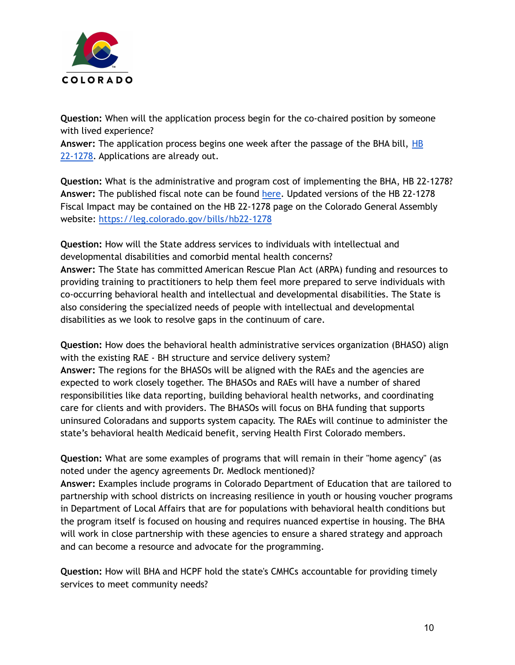

**Question:** When will the application process begin for the co-chaired position by someone with lived experience?

**Answer:** The application process begins one week after the passage of the BHA bill, [HB](https://leg.colorado.gov/bills/hb22-1278) [22-1278.](https://leg.colorado.gov/bills/hb22-1278) Applications are already out.

**Question:** What is the administrative and program cost of implementing the BHA, HB 22-1278? **Answer:** The published fiscal note can be found [here](https://leg.colorado.gov/sites/default/files/documents/2022A/bills/fn/2022a_hb1278_00.pdf). Updated versions of the HB 22-1278 Fiscal Impact may be contained on the HB 22-1278 page on the Colorado General Assembly website: <https://leg.colorado.gov/bills/hb22-1278>

**Question:** How will the State address services to individuals with intellectual and developmental disabilities and comorbid mental health concerns? **Answer:** The State has committed American Rescue Plan Act (ARPA) funding and resources to providing training to practitioners to help them feel more prepared to serve individuals with co-occurring behavioral health and intellectual and developmental disabilities. The State is also considering the specialized needs of people with intellectual and developmental disabilities as we look to resolve gaps in the continuum of care.

**Question:** How does the behavioral health administrative services organization (BHASO) align with the existing RAE - BH structure and service delivery system? **Answer:** The regions for the BHASOs will be aligned with the RAEs and the agencies are expected to work closely together. The BHASOs and RAEs will have a number of shared responsibilities like data reporting, building behavioral health networks, and coordinating care for clients and with providers. The BHASOs will focus on BHA funding that supports uninsured Coloradans and supports system capacity. The RAEs will continue to administer the state's behavioral health Medicaid benefit, serving Health First Colorado members.

**Question:** What are some examples of programs that will remain in their "home agency" (as noted under the agency agreements Dr. Medlock mentioned)? **Answer:** Examples include programs in Colorado Department of Education that are tailored to partnership with school districts on increasing resilience in youth or housing voucher programs in Department of Local Affairs that are for populations with behavioral health conditions but the program itself is focused on housing and requires nuanced expertise in housing. The BHA will work in close partnership with these agencies to ensure a shared strategy and approach and can become a resource and advocate for the programming.

**Question:** How will BHA and HCPF hold the state's CMHCs accountable for providing timely services to meet community needs?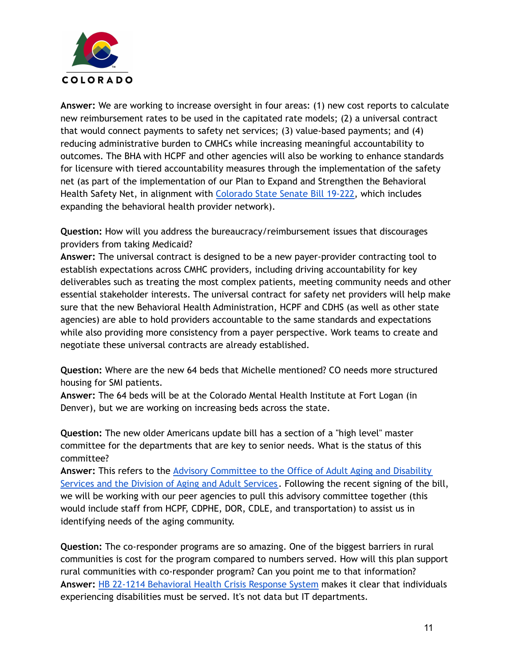

**Answer:** We are working to increase oversight in four areas: (1) new cost reports to calculate new reimbursement rates to be used in the capitated rate models; (2) a universal contract that would connect payments to safety net services; (3) value-based payments; and (4) reducing administrative burden to CMHCs while increasing meaningful accountability to outcomes. The BHA with HCPF and other agencies will also be working to enhance standards for licensure with tiered accountability measures through the implementation of the safety net (as part of the implementation of our Plan to Expand and Strengthen the Behavioral Health Safety Net, in alignment with [Colorado](https://leg.colorado.gov/bills/sb19-222) State Senate Bill 19-222, which includes expanding the behavioral health provider network).

**Question:** How will you address the bureaucracy/reimbursement issues that discourages providers from taking Medicaid?

**Answer:** The universal contract is designed to be a new payer-provider contracting tool to establish expectations across CMHC providers, including driving accountability for key deliverables such as treating the most complex patients, meeting community needs and other essential stakeholder interests. The universal contract for safety net providers will help make sure that the new Behavioral Health Administration, HCPF and CDHS (as well as other state agencies) are able to hold providers accountable to the same standards and expectations while also providing more consistency from a payer perspective. Work teams to create and negotiate these universal contracts are already established.

**Question:** Where are the new 64 beds that Michelle mentioned? CO needs more structured housing for SMI patients.

**Answer:** The 64 beds will be at the Colorado Mental Health Institute at Fort Logan (in Denver), but we are working on increasing beds across the state.

**Question:** The new older Americans update bill has a section of a "high level" master committee for the departments that are key to senior needs. What is the status of this committee?

**Answer:** This refers to the Advisory [Committee](https://cdhs.colorado.gov/our-services/older-adult-services) to the Office of Adult Aging and Disability [Services](https://cdhs.colorado.gov/our-services/older-adult-services) and the Division of Aging and Adult Services. Following the recent signing of the bill, we will be working with our peer agencies to pull this advisory committee together (this would include staff from HCPF, CDPHE, DOR, CDLE, and transportation) to assist us in identifying needs of the aging community.

**Question:** The co-responder programs are so amazing. One of the biggest barriers in rural communities is cost for the program compared to numbers served. How will this plan support rural communities with co-responder program? Can you point me to that information? **Answer:** HB 22-1214 [Behavioral](https://leg.colorado.gov/bills/hb22-1214) Health Crisis Response System makes it clear that individuals experiencing disabilities must be served. It's not data but IT departments.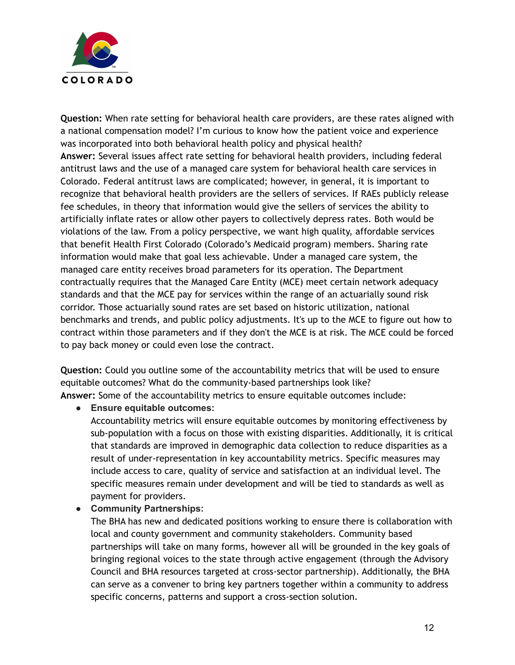

**Question:** When rate setting for behavioral health care providers, are these rates aligned with a national compensation model? I'm curious to know how the patient voice and experience was incorporated into both behavioral health policy and physical health? **Answer:** Several issues affect rate setting for behavioral health providers, including federal antitrust laws and the use of a managed care system for behavioral health care services in Colorado. Federal antitrust laws are complicated; however, in general, it is important to recognize that behavioral health providers are the sellers of services. If RAEs publicly release fee schedules, in theory that information would give the sellers of services the ability to artificially inflate rates or allow other payers to collectively depress rates. Both would be violations of the law. From a policy perspective, we want high quality, affordable services that benefit Health First Colorado (Colorado's Medicaid program) members. Sharing rate information would make that goal less achievable. Under a managed care system, the managed care entity receives broad parameters for its operation. The Department contractually requires that the Managed Care Entity (MCE) meet certain network adequacy standards and that the MCE pay for services within the range of an actuarially sound risk corridor. Those actuarially sound rates are set based on historic utilization, national benchmarks and trends, and public policy adjustments. It's up to the MCE to figure out how to contract within those parameters and if they don't the MCE is at risk. The MCE could be forced to pay back money or could even lose the contract.

**Question:** Could you outline some of the accountability metrics that will be used to ensure equitable outcomes? What do the community-based partnerships look like? **Answer:** Some of the accountability metrics to ensure equitable outcomes include:

#### **● Ensure equitable outcomes:**

Accountability metrics will ensure equitable outcomes by monitoring effectiveness by sub-population with a focus on those with existing disparities. Additionally, it is critical that standards are improved in demographic data collection to reduce disparities as a result of under-representation in key accountability metrics. Specific measures may include access to care, quality of service and satisfaction at an individual level. The specific measures remain under development and will be tied to standards as well as payment for providers.

#### **● Community Partnerships:**

The BHA has new and dedicated positions working to ensure there is collaboration with local and county government and community stakeholders. Community based partnerships will take on many forms, however all will be grounded in the key goals of bringing regional voices to the state through active engagement (through the Advisory Council and BHA resources targeted at cross-sector partnership). Additionally, the BHA can serve as a convener to bring key partners together within a community to address specific concerns, patterns and support a cross-section solution.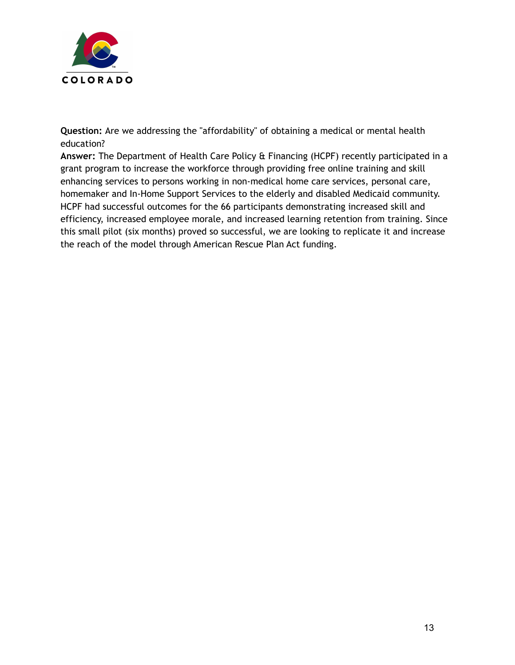

**Question:** Are we addressing the "affordability" of obtaining a medical or mental health education?

**Answer:** The Department of Health Care Policy & Financing (HCPF) recently participated in a grant program to increase the workforce through providing free online training and skill enhancing services to persons working in non-medical home care services, personal care, homemaker and In-Home Support Services to the elderly and disabled Medicaid community. HCPF had successful outcomes for the 66 participants demonstrating increased skill and efficiency, increased employee morale, and increased learning retention from training. Since this small pilot (six months) proved so successful, we are looking to replicate it and increase the reach of the model through American Rescue Plan Act funding.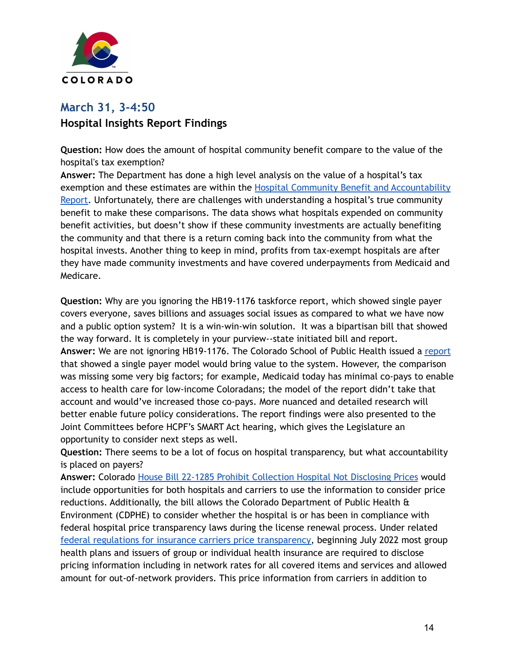

## **March 31, 3-4:50 Hospital Insights Report Findings**

**Question:** How does the amount of hospital community benefit compare to the value of the hospital's tax exemption?

**Answer:** The Department has done a high level analysis on the value of a hospital's tax exemption and these estimates are within the Hospital Community Benefit and [Accountability](https://hcpf.colorado.gov/sites/hcpf/files/2022%20Hospital%20Community%20Benefit%20Accountability%20Report%20with%20Key%20Findings.pdf) [Report.](https://hcpf.colorado.gov/sites/hcpf/files/2022%20Hospital%20Community%20Benefit%20Accountability%20Report%20with%20Key%20Findings.pdf) Unfortunately, there are challenges with understanding a hospital's true community benefit to make these comparisons. The data shows what hospitals expended on community benefit activities, but doesn't show if these community investments are actually benefiting the community and that there is a return coming back into the community from what the hospital invests. Another thing to keep in mind, profits from tax-exempt hospitals are after they have made community investments and have covered underpayments from Medicaid and Medicare.

**Question:** Why are you ignoring the HB19-1176 taskforce report, which showed single payer covers everyone, saves billions and assuages social issues as compared to what we have now and a public option system? It is a win-win-win solution. It was a bipartisan bill that showed the way forward. It is completely in your purview--state initiated bill and report. **Answer:** We are not ignoring HB19-1176. The Colorado School of Public Health issued a [report](https://pagosadailypost.com/wp-content/uploads/2021/09/21-HB1176-Health-Report.pdf) that showed a single payer model would bring value to the system. However, the comparison was missing some very big factors; for example, Medicaid today has minimal co-pays to enable access to health care for low-income Coloradans; the model of the report didn't take that account and would've increased those co-pays. More nuanced and detailed research will better enable future policy considerations. The report findings were also presented to the Joint Committees before HCPF's SMART Act hearing, which gives the Legislature an opportunity to consider next steps as well.

**Question:** There seems to be a lot of focus on hospital transparency, but what accountability is placed on payers?

**Answer:** Colorado House Bill 22-1285 Prohibit [Collection](https://leg.colorado.gov/bills/hb22-1285) Hospital Not Disclosing Prices would include opportunities for both hospitals and carriers to use the information to consider price reductions. Additionally, the bill allows the Colorado Department of Public Health & Environment (CDPHE) to consider whether the hospital is or has been in compliance with federal hospital price transparency laws during the license renewal process. Under related federal regulations for insurance carriers price [transparency,](https://www.cms.gov/healthplan-price-transparency/plans-and-issuers) beginning July 2022 most group health plans and issuers of group or individual health insurance are required to disclose pricing information including in network rates for all covered items and services and allowed amount for out-of-network providers. This price information from carriers in addition to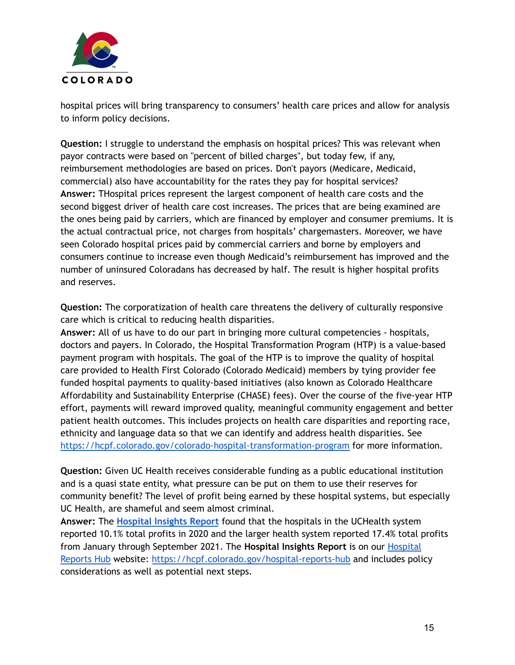

hospital prices will bring transparency to consumers' health care prices and allow for analysis to inform policy decisions.

**Question:** I struggle to understand the emphasis on hospital prices? This was relevant when payor contracts were based on "percent of billed charges", but today few, if any, reimbursement methodologies are based on prices. Don't payors (Medicare, Medicaid, commercial) also have accountability for the rates they pay for hospital services? **Answer:** THospital prices represent the largest component of health care costs and the second biggest driver of health care cost increases. The prices that are being examined are the ones being paid by carriers, which are financed by employer and consumer premiums. It is the actual contractual price, not charges from hospitals' chargemasters. Moreover, we have seen Colorado hospital prices paid by commercial carriers and borne by employers and consumers continue to increase even though Medicaid's reimbursement has improved and the number of uninsured Coloradans has decreased by half. The result is higher hospital profits and reserves.

**Question:** The corporatization of health care threatens the delivery of culturally responsive care which is critical to reducing health disparities.

**Answer:** All of us have to do our part in bringing more cultural competencies - hospitals, doctors and payers. In Colorado, the Hospital Transformation Program (HTP) is a value-based payment program with hospitals. The goal of the HTP is to improve the quality of hospital care provided to Health First Colorado (Colorado Medicaid) members by tying provider fee funded hospital payments to quality-based initiatives (also known as Colorado Healthcare Affordability and Sustainability Enterprise (CHASE) fees). Over the course of the five-year HTP effort, payments will reward improved quality, meaningful community engagement and better patient health outcomes. This includes projects on health care disparities and reporting race, ethnicity and language data so that we can identify and address health disparities. See <https://hcpf.colorado.gov/colorado-hospital-transformation-program> for more information.

**Question:** Given UC Health receives considerable funding as a public educational institution and is a quasi state entity, what pressure can be put on them to use their reserves for community benefit? The level of profit being earned by these hospital systems, but especially UC Health, are shameful and seem almost criminal.

**Answer:** The **[Hospital](https://hcpf.colorado.gov/hospital-reports-hub) Insights Report** found that the hospitals in the UCHealth system reported 10.1% total profits in 2020 and the larger health system reported 17.4% total profits from January through September 2021. The **Hospital Insights Report** is on our [Hospital](https://hcpf.colorado.gov/hospital-reports-hub) [Reports](https://hcpf.colorado.gov/hospital-reports-hub) Hub website: <https://hcpf.colorado.gov/hospital-reports-hub> and includes policy considerations as well as potential next steps.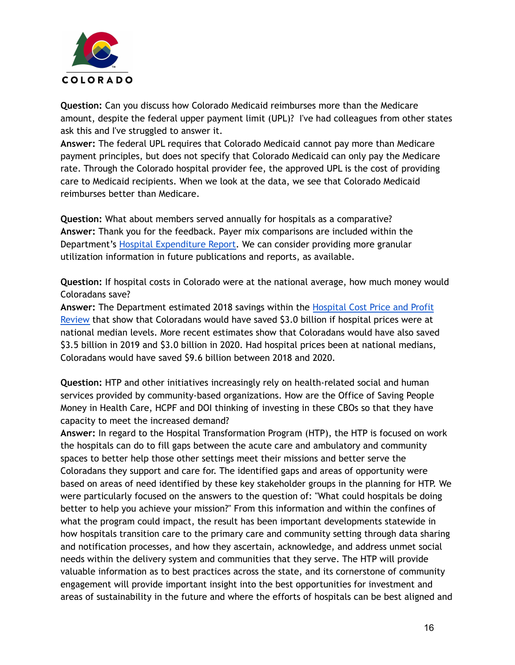

**Question:** Can you discuss how Colorado Medicaid reimburses more than the Medicare amount, despite the federal upper payment limit (UPL)? I've had colleagues from other states ask this and I've struggled to answer it.

**Answer:** The federal UPL requires that Colorado Medicaid cannot pay more than Medicare payment principles, but does not specify that Colorado Medicaid can only pay the Medicare rate. Through the Colorado hospital provider fee, the approved UPL is the cost of providing care to Medicaid recipients. When we look at the data, we see that Colorado Medicaid reimburses better than Medicare.

**Question:** What about members served annually for hospitals as a comparative? **Answer:** Thank you for the feedback. Payer mix comparisons are included within the Department's Hospital [Expenditure](https://hcpf.colorado.gov/sites/hcpf/files/2022%20Hospital%20Expenditure%20Report%20with%20Key%20Findings.pdf) Report. We can consider providing more granular utilization information in future publications and reports, as available.

**Question:** If hospital costs in Colorado were at the national average, how much money would Coloradans save?

**Answer:** The Department estimated 2018 savings within the [Hospital](https://hcpf.colorado.gov/sites/hcpf/files/Hospital%20Cost%20Price%20and%20Profit%20Review%20Full%20Report_withAppendices-0810ac.pdf) Cost Price and Profit [Review](https://hcpf.colorado.gov/sites/hcpf/files/Hospital%20Cost%20Price%20and%20Profit%20Review%20Full%20Report_withAppendices-0810ac.pdf) that show that Coloradans would have saved \$3.0 billion if hospital prices were at national median levels. More recent estimates show that Coloradans would have also saved \$3.5 billion in 2019 and \$3.0 billion in 2020. Had hospital prices been at national medians, Coloradans would have saved \$9.6 billion between 2018 and 2020.

**Question:** HTP and other initiatives increasingly rely on health-related social and human services provided by community-based organizations. How are the Office of Saving People Money in Health Care, HCPF and DOI thinking of investing in these CBOs so that they have capacity to meet the increased demand?

**Answer:** In regard to the Hospital Transformation Program (HTP), the HTP is focused on work the hospitals can do to fill gaps between the acute care and ambulatory and community spaces to better help those other settings meet their missions and better serve the Coloradans they support and care for. The identified gaps and areas of opportunity were based on areas of need identified by these key stakeholder groups in the planning for HTP. We were particularly focused on the answers to the question of: "What could hospitals be doing better to help you achieve your mission?" From this information and within the confines of what the program could impact, the result has been important developments statewide in how hospitals transition care to the primary care and community setting through data sharing and notification processes, and how they ascertain, acknowledge, and address unmet social needs within the delivery system and communities that they serve. The HTP will provide valuable information as to best practices across the state, and its cornerstone of community engagement will provide important insight into the best opportunities for investment and areas of sustainability in the future and where the efforts of hospitals can be best aligned and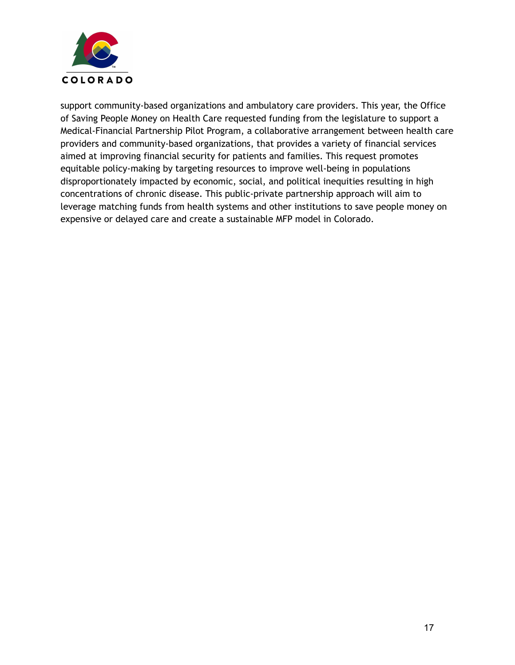

support community-based organizations and ambulatory care providers. This year, the Office of Saving People Money on Health Care requested funding from the legislature to support a Medical-Financial Partnership Pilot Program, a collaborative arrangement between health care providers and community-based organizations, that provides a variety of financial services aimed at improving financial security for patients and families. This request promotes equitable policy-making by targeting resources to improve well-being in populations disproportionately impacted by economic, social, and political inequities resulting in high concentrations of chronic disease. This public-private partnership approach will aim to leverage matching funds from health systems and other institutions to save people money on expensive or delayed care and create a sustainable MFP model in Colorado.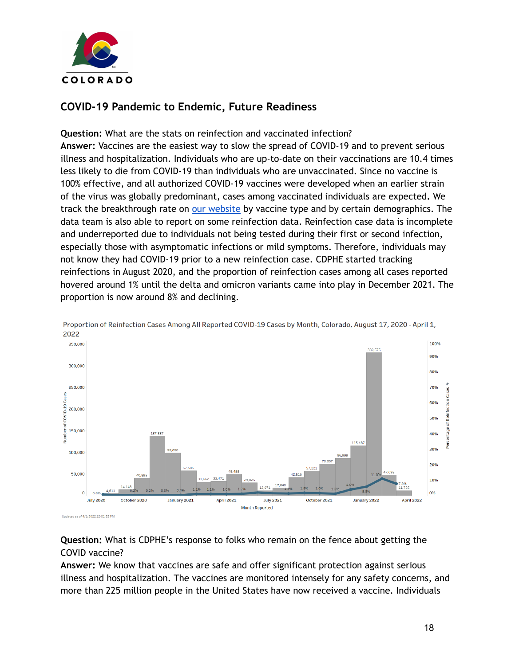

## **COVID-19 Pandemic to Endemic, Future Readiness**

**Question:** What are the stats on reinfection and vaccinated infection? **Answer:** Vaccines are the easiest way to slow the spread of COVID-19 and to prevent serious illness and hospitalization. Individuals who are up-to-date on their vaccinations are 10.4 times less likely to die from COVID-19 than individuals who are unvaccinated. Since no vaccine is 100% effective, and all authorized COVID-19 vaccines were developed when an earlier strain of the virus was globally predominant, cases among vaccinated individuals are expected**.** We track the breakthrough rate on our [website](https://covid19.colorado.gov/vaccine-breakthrough) by vaccine type and by certain demographics. The data team is also able to report on some reinfection data. Reinfection case data is incomplete and underreported due to individuals not being tested during their first or second infection, especially those with asymptomatic infections or mild symptoms. Therefore, individuals may not know they had COVID-19 prior to a new reinfection case. CDPHE started tracking reinfections in August 2020, and the proportion of reinfection cases among all cases reported hovered around 1% until the delta and omicron variants came into play in December 2021. The proportion is now around 8% and declining.



Proportion of Reinfection Cases Among All Reported COVID-19 Cases by Month, Colorado, August 17, 2020 - April 1, 2022

**Question:** What is CDPHE's response to folks who remain on the fence about getting the COVID vaccine?

**Answer:** We know that vaccines are safe and offer significant protection against serious illness and hospitalization. The vaccines are monitored intensely for any safety concerns, and more than 225 million people in the United States have now received a vaccine. Individuals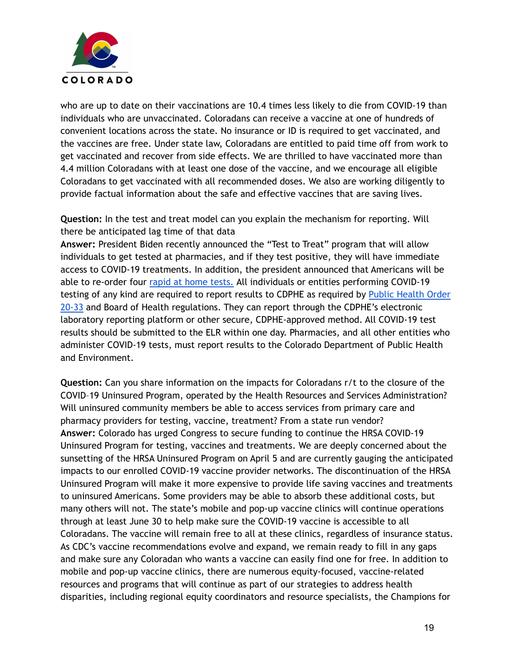

who are up to date on their vaccinations are 10.4 times less likely to die from COVID-19 than individuals who are unvaccinated. Coloradans can receive a vaccine at one of hundreds of convenient locations across the state. No insurance or ID is required to get vaccinated, and the vaccines are free. Under state law, Coloradans are entitled to paid time off from work to get vaccinated and recover from side effects. We are thrilled to have vaccinated more than 4.4 million Coloradans with at least one dose of the vaccine, and we encourage all eligible Coloradans to get vaccinated with all recommended doses. We also are working diligently to provide factual information about the safe and effective vaccines that are saving lives.

**Question:** In the test and treat model can you explain the mechanism for reporting. Will there be anticipated lag time of that data

**Answer:** President Biden recently announced the "Test to Treat" program that will allow individuals to get tested at pharmacies, and if they test positive, they will have immediate access to COVID-19 treatments. In addition, the president announced that Americans will be able to re-order four rapid at home [tests.](https://www.covidtests.gov/) All individuals or entities performing COVID-19 testing of any kind are required to report results to CDPHE as required by Public [Health](https://drive.google.com/file/d/1SdXSLNxlfddGjQF7HDkmIxcB_YXYrDE3/view) Order [20-33](https://drive.google.com/file/d/1SdXSLNxlfddGjQF7HDkmIxcB_YXYrDE3/view) and Board of Health regulations. They can report through the CDPHE's electronic laboratory reporting platform or other secure, CDPHE-approved method. All COVID-19 test results should be submitted to the ELR within one day. Pharmacies, and all other entities who administer COVID-19 tests, must report results to the Colorado Department of Public Health and Environment.

**Question:** Can you share information on the impacts for Coloradans r/t to the closure of the COVID–19 Uninsured Program, operated by the Health Resources and Services Administration? Will uninsured community members be able to access services from primary care and pharmacy providers for testing, vaccine, treatment? From a state run vendor? **Answer:** Colorado has urged Congress to secure funding to continue the HRSA COVID-19 Uninsured Program for testing, vaccines and treatments. We are deeply concerned about the sunsetting of the HRSA Uninsured Program on April 5 and are currently gauging the anticipated impacts to our enrolled COVID-19 vaccine provider networks. The discontinuation of the HRSA Uninsured Program will make it more expensive to provide life saving vaccines and treatments to uninsured Americans. Some providers may be able to absorb these additional costs, but many others will not. The state's mobile and pop-up vaccine clinics will continue operations through at least June 30 to help make sure the COVID-19 vaccine is accessible to all Coloradans. The vaccine will remain free to all at these clinics, regardless of insurance status. As CDC's vaccine recommendations evolve and expand, we remain ready to fill in any gaps and make sure any Coloradan who wants a vaccine can easily find one for free. In addition to mobile and pop-up vaccine clinics, there are numerous equity-focused, vaccine-related resources and programs that will continue as part of our strategies to address health disparities, including regional equity coordinators and resource specialists, the Champions for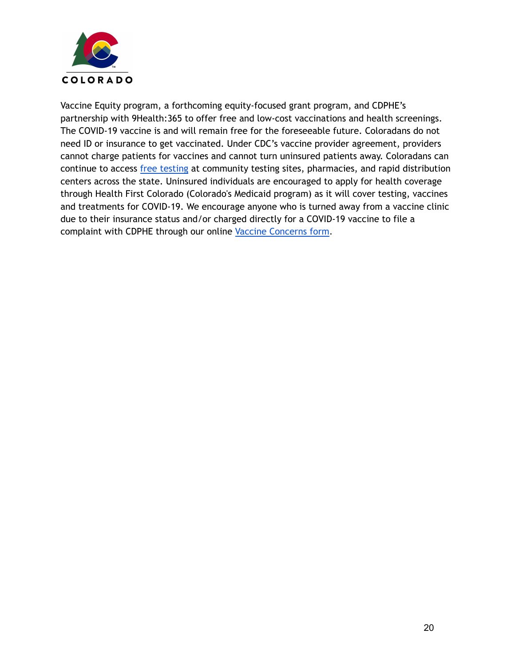

Vaccine Equity program, a forthcoming equity-focused grant program, and CDPHE's partnership with 9Health:365 to offer free and low-cost vaccinations and health screenings. The COVID-19 vaccine is and will remain free for the foreseeable future. Coloradans do not need ID or insurance to get vaccinated. Under CDC's vaccine provider agreement, providers cannot charge patients for vaccines and cannot turn uninsured patients away. Coloradans can continue to access free [testing](https://covid19.colorado.gov/testing) at community testing sites, pharmacies, and rapid distribution centers across the state. Uninsured individuals are encouraged to apply for health coverage through Health First Colorado (Colorado's Medicaid program) as it will cover testing, vaccines and treatments for COVID-19. We encourage anyone who is turned away from a vaccine clinic due to their insurance status and/or charged directly for a COVID-19 vaccine to file a complaint with CDPHE through our online Vaccine [Concerns](http://covid19.colorado.gov/VaccineConcerns) form.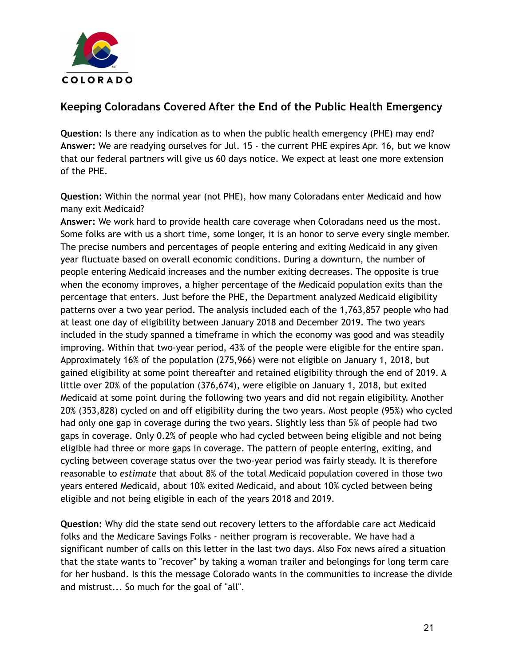

## **Keeping Coloradans Covered After the End of the Public Health Emergency**

**Question:** Is there any indication as to when the public health emergency (PHE) may end? **Answer:** We are readying ourselves for Jul. 15 - the current PHE expires Apr. 16, but we know that our federal partners will give us 60 days notice. We expect at least one more extension of the PHE.

**Question:** Within the normal year (not PHE), how many Coloradans enter Medicaid and how many exit Medicaid?

**Answer:** We work hard to provide health care coverage when Coloradans need us the most. Some folks are with us a short time, some longer, it is an honor to serve every single member. The precise numbers and percentages of people entering and exiting Medicaid in any given year fluctuate based on overall economic conditions. During a downturn, the number of people entering Medicaid increases and the number exiting decreases. The opposite is true when the economy improves, a higher percentage of the Medicaid population exits than the percentage that enters. Just before the PHE, the Department analyzed Medicaid eligibility patterns over a two year period. The analysis included each of the 1,763,857 people who had at least one day of eligibility between January 2018 and December 2019. The two years included in the study spanned a timeframe in which the economy was good and was steadily improving. Within that two-year period, 43% of the people were eligible for the entire span. Approximately 16% of the population (275,966) were not eligible on January 1, 2018, but gained eligibility at some point thereafter and retained eligibility through the end of 2019. A little over 20% of the population (376,674), were eligible on January 1, 2018, but exited Medicaid at some point during the following two years and did not regain eligibility. Another 20% (353,828) cycled on and off eligibility during the two years. Most people (95%) who cycled had only one gap in coverage during the two years. Slightly less than 5% of people had two gaps in coverage. Only 0.2% of people who had cycled between being eligible and not being eligible had three or more gaps in coverage. The pattern of people entering, exiting, and cycling between coverage status over the two-year period was fairly steady. It is therefore reasonable to *estimate* that about 8% of the total Medicaid population covered in those two years entered Medicaid, about 10% exited Medicaid, and about 10% cycled between being eligible and not being eligible in each of the years 2018 and 2019.

**Question:** Why did the state send out recovery letters to the affordable care act Medicaid folks and the Medicare Savings Folks - neither program is recoverable. We have had a significant number of calls on this letter in the last two days. Also Fox news aired a situation that the state wants to "recover" by taking a woman trailer and belongings for long term care for her husband. Is this the message Colorado wants in the communities to increase the divide and mistrust... So much for the goal of "all".